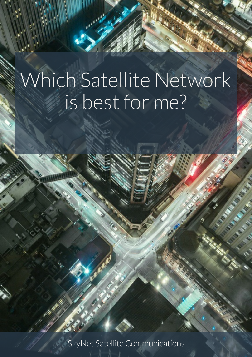SkyNet Satellite Communications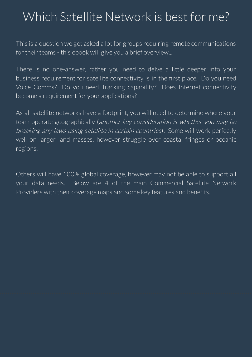This is a question we get asked a lot for groups requiring remote communications for their teams - this ebook will give you a brief overview...

There is no one-answer, rather you need to delve a little deeper into your business requirement for satellite connectivity is in the first place. Do you need Voice Comms? Do you need Tracking capability? Does Internet connectivity become a requirement for your applications?

As all satellite networks have a footprint, you will need to determine where your team operate geographically (another key consideration is whether you may be breaking any laws using satellite in certain countries). Some will work perfectly well on larger land masses, however struggle over coastal fringes or oceanic regions.

Others will have 100% global coverage, however may not be able to support all your data needs. Below are 4 of the main Commercial Satellite Network Providers with their coverage maps and some key features and benefits...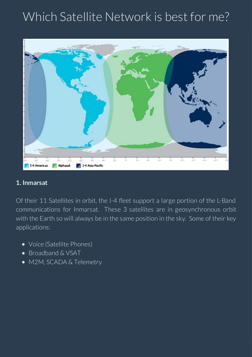

#### **1. Inmarsat**

Of their 11 Satellites in orbit, the I-4 fleet support a large portion of the L-Band communications for Inmarsat. These 3 satellites are in geosynchronous orbit with the Earth so will always be in the same position in the sky. Some of their key applications:

- Voice (Satellite Phones)
- Broadband & VSAT
- M2M, SCADA & Telemetry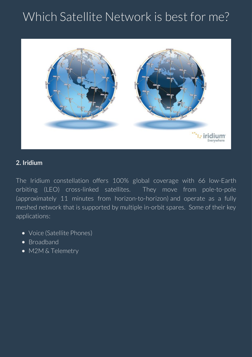

#### **2. Iridium**

The Iridium constellation offers 100% global coverage with 66 low-Earth orbiting (LEO) cross-linked satellites. They move from pole-to-pole (approximately 11 minutes from horizon-to-horizon) and operate as a fully meshed network that is supported by multiple in-orbit spares. Some of their key applications:

- Voice (Satellite Phones)
- Broadband
- M2M & Telemetry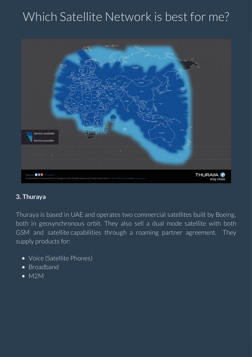

#### **3. Thuraya**

Thuraya is based in UAE and operates two commercial satellites built by Boeing, both in geosynchronous orbit. They also sell a dual mode satellite with both GSM and satellite capabilities through a roaming partner agreement. They supply products for:

- Voice (Satellite Phones)
- Broadband
- M2M